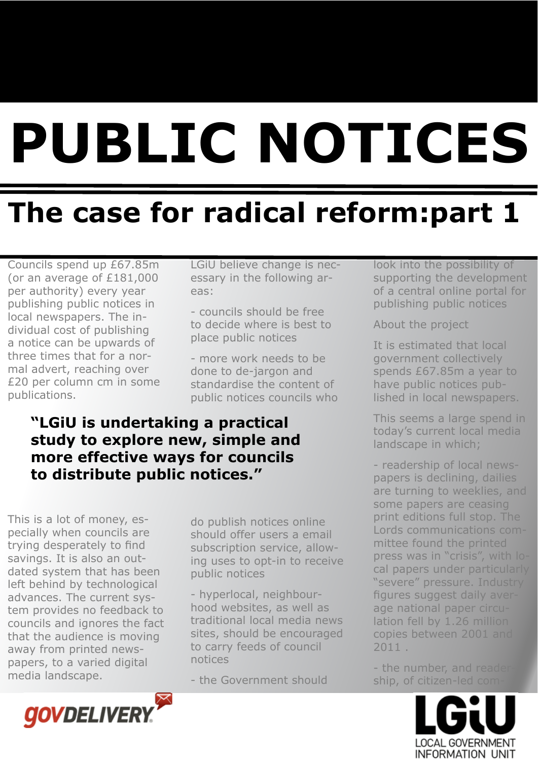# **PUBLIC NOTICES**

# **The case for radical reform:part 1**

Councils spend up £67.85m (or an average of £181,000 per authority) every year publishing public notices in local newspapers. The individual cost of publishing a notice can be upwards of three times that for a normal advert, reaching over £20 per column cm in some publications.

LGiU believe change is necessary in the following areas:

- councils should be free to decide where is best to place public notices

- more work needs to be done to de-jargon and standardise the content of public notices councils who

#### **"LGiU is undertaking a practical study to explore new, simple and more effective ways for councils to distribute public notices."**

This is a lot of money, especially when councils are trying desperately to find savings. It is also an outdated system that has been left behind by technological advances. The current system provides no feedback to councils and ignores the fact that the audience is moving away from printed newspapers, to a varied digital media landscape.

do publish notices online should offer users a email subscription service, allowing uses to opt-in to receive public notices

- hyperlocal, neighbourhood websites, as well as traditional local media news sites, should be encouraged to carry feeds of council notices

- the Government should

look into the possibility of supporting the development of a central online portal for publishing public notices

About the project

It is estimated that local government collectively spends £67.85m a year to have public notices published in local newspapers.

This seems a large spend in today's current local media landscape in which;

- readership of local newspapers is declining, dailies are turning to weeklies, and some papers are ceasing print editions full stop. The Lords communications committee found the printed press was in "crisis", with local papers under particularly "severe" pressure. Industry figures suggest daily average national paper circulation fell by 1.26 million copies between 2001 and 2011 .

- the number, and reader ship, of citizen-led com-



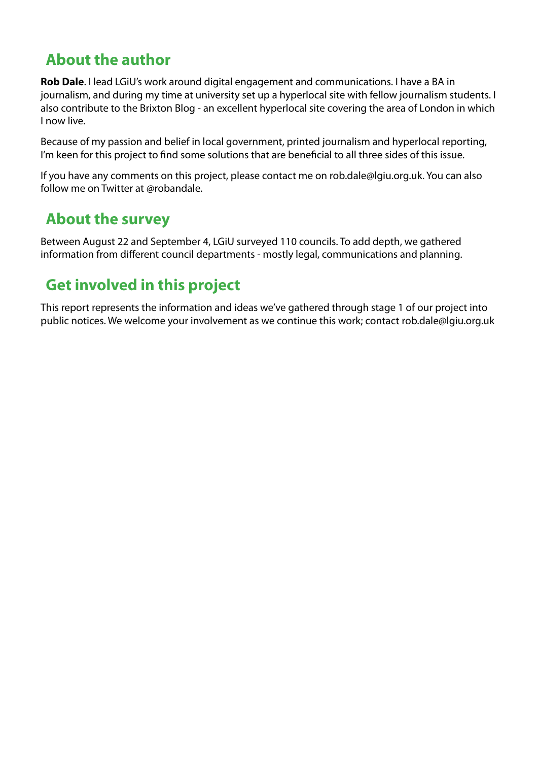#### **About the author**

**Rob Dale**. I lead LGiU's work around digital engagement and communications. I have a BA in journalism, and during my time at university set up a hyperlocal site with fellow journalism students. I also contribute to the Brixton Blog - an excellent hyperlocal site covering the area of London in which I now live.

Because of my passion and belief in local government, printed journalism and hyperlocal reporting, I'm keen for this project to find some solutions that are beneficial to all three sides of this issue.

If you have any comments on this project, please contact me on [rob.dale@lgiu.org.uk.](mailto:rob.dale@lgiu.org.uk) You can also follow me on Twitter at @robandale.

#### **About the survey**

Between August 22 and September 4, LGiU surveyed 110 councils. To add depth, we gathered information from different council departments - mostly legal, communications and planning.

#### **Get involved in this project**

This report represents the information and ideas we've gathered through stage 1 of our project into public notices. We welcome your involvement as we continue this work; contact [rob.dale@lgiu.org.uk](mailto:rob.dale@lgiu.org.uk)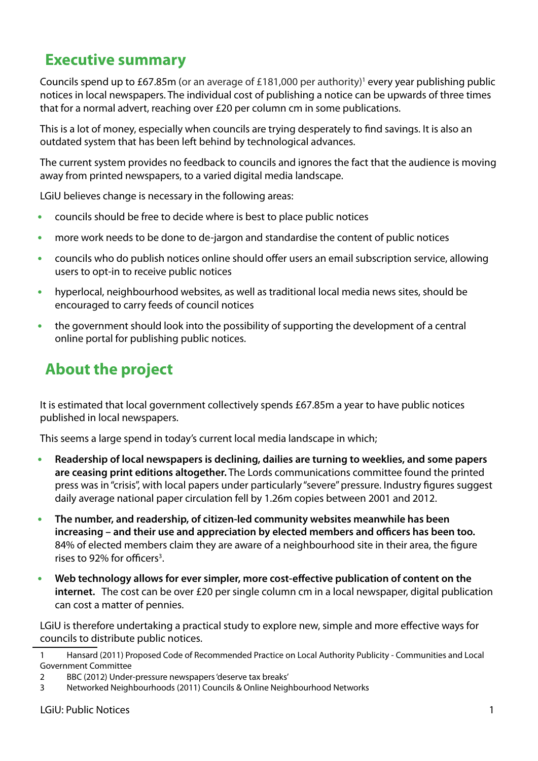#### **Executive summary**

Councils spend up to £67.85m (or an average of £181,000 per authority)<sup>1</sup> every year publishing public notices in local newspapers. The individual cost of publishing a notice can be upwards of three times that for a normal advert, reaching over £20 per column cm in some publications.

This is a lot of money, especially when councils are trying desperately to find savings. It is also an outdated system that has been left behind by technological advances.

The current system provides no feedback to councils and ignores the fact that the audience is moving away from printed newspapers, to a varied digital media landscape.

LGiU believes change is necessary in the following areas:

- councils should be free to decide where is best to place public notices **•**
- more work needs to be done to de-jargon and standardise the content of public notices **•**
- councils who do publish notices online should offer users an email subscription service, allowing users to opt-in to receive public notices **•**
- hyperlocal, neighbourhood websites, as well as traditional local media news sites, should be encouraged to carry feeds of council notices **•**
- the government should look into the possibility of supporting the development of a central online portal for publishing public notices. **•**

#### **About the project**

It is estimated that local government collectively spends £67.85m a year to have public notices published in local newspapers.

This seems a large spend in today's current local media landscape in which;

- **Readership of local newspapers is declining, dailies are turning to weeklies, and some papers are ceasing print editions altogether.** The Lords communications committee found the printed press was in "crisis", with local papers under particularly "severe" pressure. Industry figures suggest daily average national paper circulation fell by 1.26m copies between 2001 and 2012. **•**
- **The number, and readership, of citizen-led community websites meanwhile has been**  increasing – and their use and appreciation by elected members and officers has been too. 84% of elected members claim they are aware of a neighbourhood site in their area, the figure rises to 92% for officers<sup>3</sup>. **•**
- **Web technology allows for ever simpler, more cost-e"ective publication of content on the internet.** The cost can be over £20 per single column cm in a local newspaper, digital publication can cost a matter of pennies. **•**

LGiU is therefore undertaking a practical study to explore new, simple and more effective ways for councils to distribute public notices.

<sup>1</sup> Hansard (2011) Proposed Code of Recommended Practice on Local Authority Publicity - Communities and Local Government Committee

<sup>2</sup> BBC (2012) Under-pressure newspapers 'deserve tax breaks'

<sup>3</sup> Networked Neighbourhoods (2011) Councils & Online Neighbourhood Networks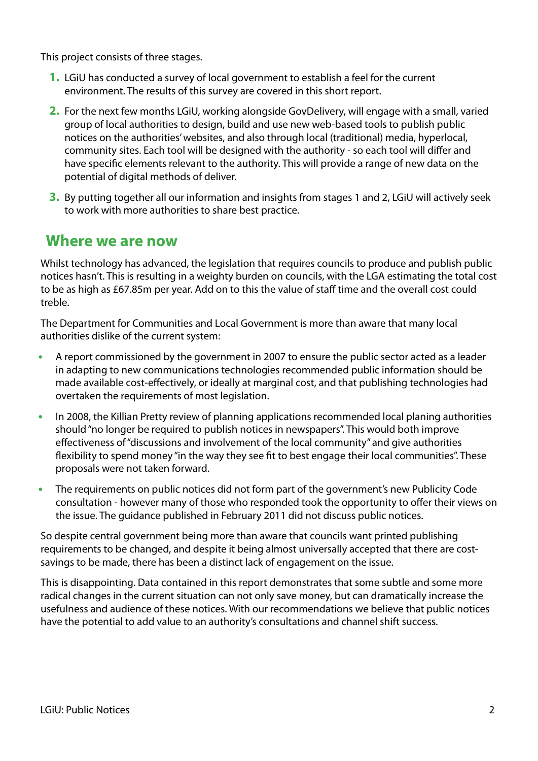This project consists of three stages.

- 1. LGiU has conducted a survey of local government to establish a feel for the current environment. The results of this survey are covered in this short report.
- 2. For the next few months LGiU, working alongside GovDelivery, will engage with a small, varied group of local authorities to design, build and use new web-based tools to publish public notices on the authorities' websites, and also through local (traditional) media, hyperlocal, community sites. Each tool will be designed with the authority - so each tool will differ and have specific elements relevant to the authority. This will provide a range of new data on the potential of digital methods of deliver.
- By putting together all our information and insights from stages 1 and 2, LGiU will actively seek **3.** to work with more authorities to share best practice.

#### **Where we are now**

Whilst technology has advanced, the legislation that requires councils to produce and publish public notices hasn't. This is resulting in a weighty burden on councils, with the LGA estimating the total cost to be as high as £67.85m per year. Add on to this the value of staff time and the overall cost could treble.

The Department for Communities and Local Government is more than aware that many local authorities dislike of the current system:

- A report commissioned by the government in 2007 to ensure the public sector acted as a leader in adapting to new communications technologies recommended public information should be made available cost-effectively, or ideally at marginal cost, and that publishing technologies had overtaken the requirements of most legislation. **•**
- In 2008, the Killian Pretty review of planning applications recommended local planing authorities should "no longer be required to publish notices in newspapers". This would both improve effectiveness of "discussions and involvement of the local community" and give authorities flexibility to spend money "in the way they see fit to best engage their local communities". These proposals were not taken forward. **•**
- The requirements on public notices did not form part of the government's new Publicity Code consultation - however many of those who responded took the opportunity to offer their views on the issue. The guidance published in February 2011 did not discuss public notices. **•**

So despite central government being more than aware that councils want printed publishing requirements to be changed, and despite it being almost universally accepted that there are costsavings to be made, there has been a distinct lack of engagement on the issue.

This is disappointing. Data contained in this report demonstrates that some subtle and some more radical changes in the current situation can not only save money, but can dramatically increase the usefulness and audience of these notices. With our recommendations we believe that public notices have the potential to add value to an authority's consultations and channel shift success.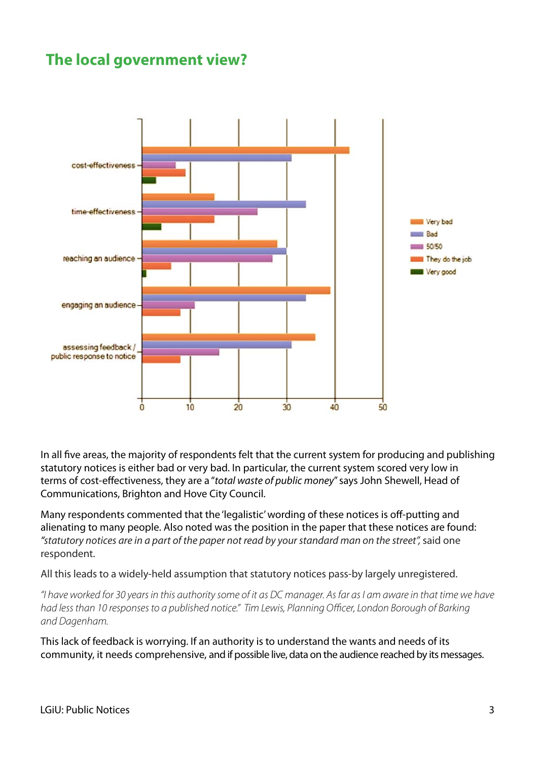#### **The local government view?**



In all five areas, the majority of respondents felt that the current system for producing and publishing statutory notices is either bad or very bad. In particular, the current system scored very low in terms of cost-effectiveness, they are a "total waste of public money" says John Shewell, Head of Communications, Brighton and Hove City Council.

Many respondents commented that the 'legalistic' wording of these notices is off-putting and alienating to many people. Also noted was the position in the paper that these notices are found: "statutory notices are in a part of the paper not read by your standard man on the street", said one respondent.

All this leads to a widely-held assumption that statutory notices pass-by largely unregistered.

"I have worked for 30 years in this authority some of it as DC manager. As far as I am aware in that time we have had less than 10 responses to a published notice." Tim Lewis, Planning Officer, London Borough of Barking and Dagenham.

This lack of feedback is worrying. If an authority is to understand the wants and needs of its community, it needs comprehensive, and if possible live, data on the audience reached by its messages.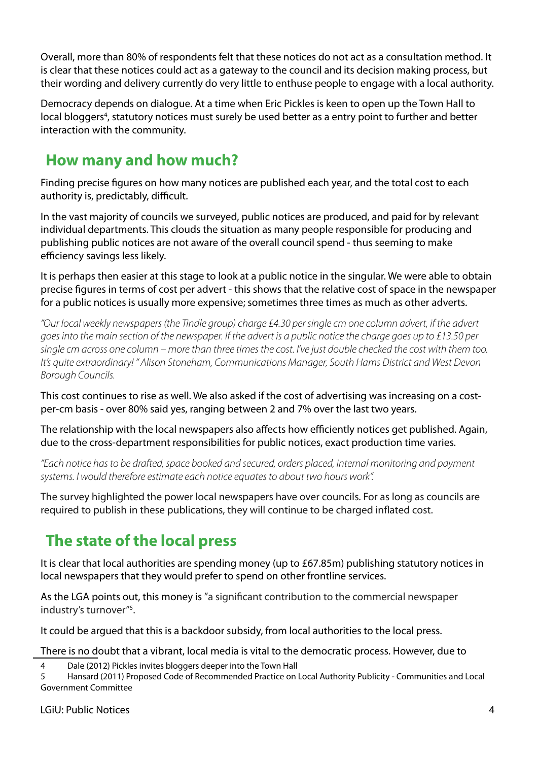Overall, more than 80% of respondents felt that these notices do not act as a consultation method. It is clear that these notices could act as a gateway to the council and its decision making process, but their wording and delivery currently do very little to enthuse people to engage with a local authority.

Democracy depends on dialogue. At a time when Eric Pickles is keen to open up the Town Hall to local bloggers<sup>4</sup>, statutory notices must surely be used better as a entry point to further and better interaction with the community.

#### **How many and how much?**

Finding precise figures on how many notices are published each year, and the total cost to each authority is, predictably, difficult.

In the vast majority of councils we surveyed, public notices are produced, and paid for by relevant individual departments. This clouds the situation as many people responsible for producing and publishing public notices are not aware of the overall council spend - thus seeming to make efficiency savings less likely.

It is perhaps then easier at this stage to look at a public notice in the singular. We were able to obtain precise figures in terms of cost per advert - this shows that the relative cost of space in the newspaper for a public notices is usually more expensive; sometimes three times as much as other adverts.

"Our local weekly newspapers (the Tindle group) charge £4.30 per single cm one column advert, if the advert goes into the main section of the newspaper. If the advert is a public notice the charge goes up to £13.50 per single cm across one column – more than three times the cost. I've just double checked the cost with them too. It's quite extraordinary! " Alison Stoneham, Communications Manager, South Hams District and West Devon Borough Councils.

This cost continues to rise as well. We also asked if the cost of advertising was increasing on a costper-cm basis - over 80% said yes, ranging between 2 and 7% over the last two years.

The relationship with the local newspapers also affects how efficiently notices get published. Again, due to the cross-department responsibilities for public notices, exact production time varies.

"Each notice has to be drafted, space booked and secured, orders placed, internal monitoring and payment systems. I would therefore estimate each notice equates to about two hours work".

The survey highlighted the power local newspapers have over councils. For as long as councils are required to publish in these publications, they will continue to be charged inflated cost.

### **The state of the local press**

It is clear that local authorities are spending money (up to £67.85m) publishing statutory notices in local newspapers that they would prefer to spend on other frontline services.

As the LGA points out, this money is "a significant contribution to the commercial newspaper industry's turnover"5 .

It could be argued that this is a backdoor subsidy, from local authorities to the local press.

There is no doubt that a vibrant, local media is vital to the democratic process. However, due to

4 Dale (2012) Pickles invites bloggers deeper into the Town Hall

5 Hansard (2011) Proposed Code of Recommended Practice on Local Authority Publicity - Communities and Local Government Committee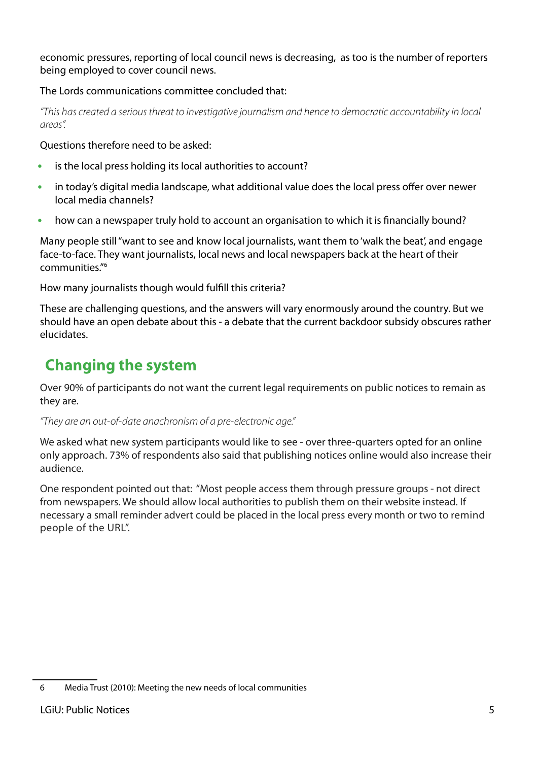economic pressures, reporting of local council news is decreasing, as too is the number of reporters being employed to cover council news.

#### The Lords communications committee concluded that:

"This has created a serious threat to investigative journalism and hence to democratic accountability in local areas".

Questions therefore need to be asked:

- is the local press holding its local authorities to account? **•**
- in today's digital media landscape, what additional value does the local press offer over newer local media channels? **•**
- how can a newspaper truly hold to account an organisation to which it is financially bound? **•**

Many people still "want to see and know local journalists, want them to 'walk the beat', and engage face-to-face. They want journalists, local news and local newspapers back at the heart of their communities."6

How many journalists though would fulfill this criteria?

These are challenging questions, and the answers will vary enormously around the country. But we should have an open debate about this - a debate that the current backdoor subsidy obscures rather elucidates.

#### **Changing the system**

Over 90% of participants do not want the current legal requirements on public notices to remain as they are.

#### "They are an out-of-date anachronism of a pre-electronic age."

We asked what new system participants would like to see - over three-quarters opted for an online only approach. 73% of respondents also said that publishing notices online would also increase their audience.

One respondent pointed out that: "Most people access them through pressure groups - not direct from newspapers. We should allow local authorities to publish them on their website instead. If necessary a small reminder advert could be placed in the local press every month or two to remind people of the URL".

<sup>6</sup> Media Trust (2010): Meeting the new needs of local communities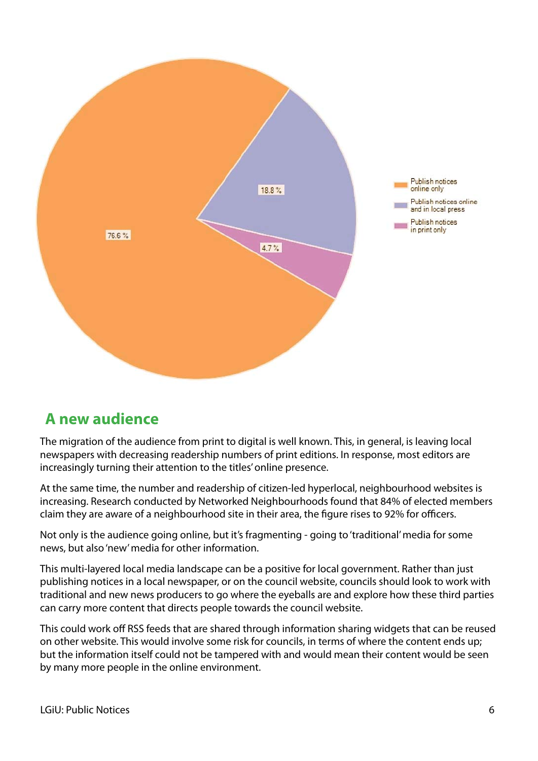

#### **A new audience**

The migration of the audience from print to digital is well known. This, in general, is leaving local newspapers with decreasing readership numbers of print editions. In response, most editors are increasingly turning their attention to the titles' online presence.

At the same time, the number and readership of citizen-led hyperlocal, neighbourhood websites is increasing. Research conducted by Networked Neighbourhoods found that 84% of elected members claim they are aware of a neighbourhood site in their area, the figure rises to 92% for officers.

Not only is the audience going online, but it's fragmenting - going to 'traditional' media for some news, but also 'new' media for other information.

This multi-layered local media landscape can be a positive for local government. Rather than just publishing notices in a local newspaper, or on the council website, councils should look to work with traditional and new news producers to go where the eyeballs are and explore how these third parties can carry more content that directs people towards the council website.

This could work off RSS feeds that are shared through information sharing widgets that can be reused on other website. This would involve some risk for councils, in terms of where the content ends up; but the information itself could not be tampered with and would mean their content would be seen by many more people in the online environment.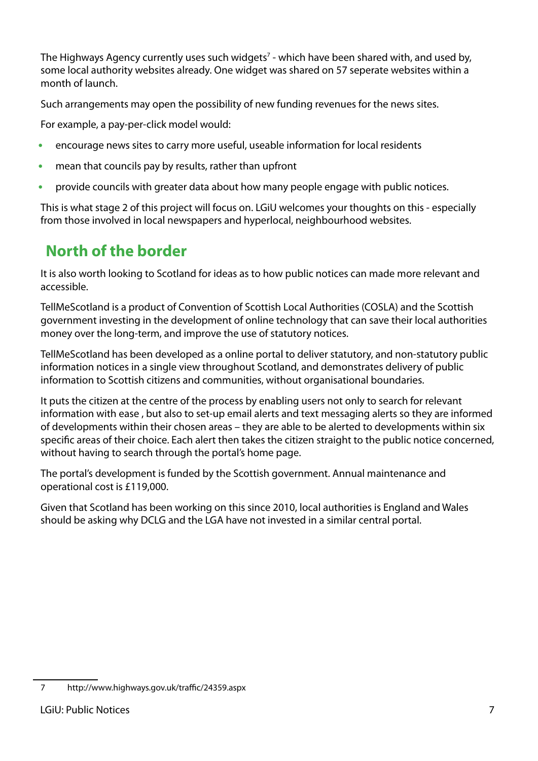The Highways Agency currently uses such widgets<sup>7</sup> - which have been shared with, and used by, some local authority websites already. One widget was shared on 57 seperate websites within a month of launch.

Such arrangements may open the possibility of new funding revenues for the news sites.

For example, a pay-per-click model would:

- encourage news sites to carry more useful, useable information for local residents **•**
- mean that councils pay by results, rather than upfront **•**
- provide councils with greater data about how many people engage with public notices. **•**

This is what stage 2 of this project will focus on. LGiU welcomes your thoughts on this - especially from those involved in local newspapers and hyperlocal, neighbourhood websites.

## **North of the border**

It is also worth looking to Scotland for ideas as to how public notices can made more relevant and accessible.

TellMeScotland is a product of Convention of Scottish Local Authorities (COSLA) and the Scottish government investing in the development of online technology that can save their local authorities money over the long-term, and improve the use of statutory notices.

TellMeScotland has been developed as a online portal to deliver statutory, and non-statutory public information notices in a single view throughout Scotland, and demonstrates delivery of public information to Scottish citizens and communities, without organisational boundaries.

It puts the citizen at the centre of the process by enabling users not only to search for relevant information with ease , but also to set-up email alerts and text messaging alerts so they are informed of developments within their chosen areas – they are able to be alerted to developments within six specific areas of their choice. Each alert then takes the citizen straight to the public notice concerned, without having to search through the portal's home page.

The portal's development is funded by the Scottish government. Annual maintenance and operational cost is £119,000.

Given that Scotland has been working on this since 2010, local authorities is England and Wales should be asking why DCLG and the LGA have not invested in a similar central portal.

<sup>7</sup> [http://www.highways.gov.uk/tra](http://www.highways.gov.uk/traffic/24359.aspx)ffic/24359.aspx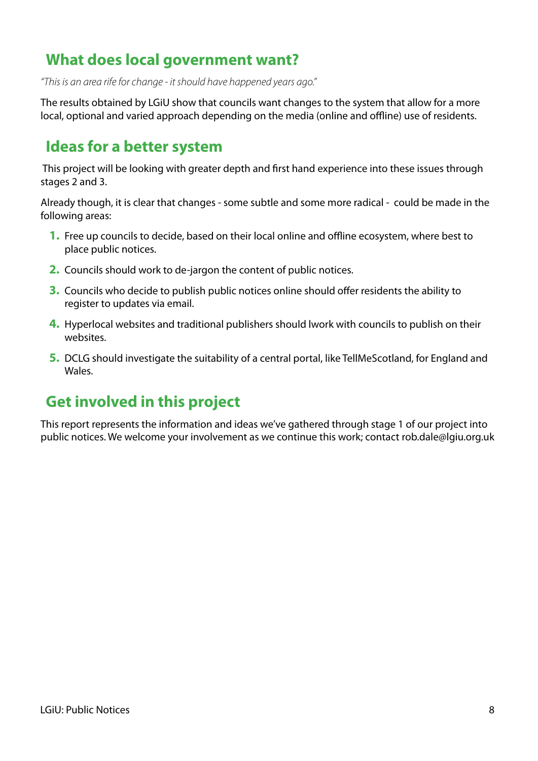#### **What does local government want?**

"This is an area rife for change - it should have happened years ago."

The results obtained by LGiU show that councils want changes to the system that allow for a more local, optional and varied approach depending on the media (online and offline) use of residents.

#### **Ideas for a better system**

This project will be looking with greater depth and first hand experience into these issues through stages 2 and 3.

Already though, it is clear that changes - some subtle and some more radical - could be made in the following areas:

- 1. Free up councils to decide, based on their local online and offline ecosystem, where best to place public notices.
- 2. Councils should work to de-jargon the content of public notices.
- **3.** Councils who decide to publish public notices online should offer residents the ability to register to updates via email.
- 4. Hyperlocal websites and traditional publishers should lwork with councils to publish on their websites.
- **5.** DCLG should investigate the suitability of a central portal, like TellMeScotland, for England and Wales.

#### **Get involved in this project**

This report represents the information and ideas we've gathered through stage 1 of our project into public notices. We welcome your involvement as we continue this work; contact [rob.dale@lgiu.org.uk](mailto:rob.dale@lgiu.org.uk)